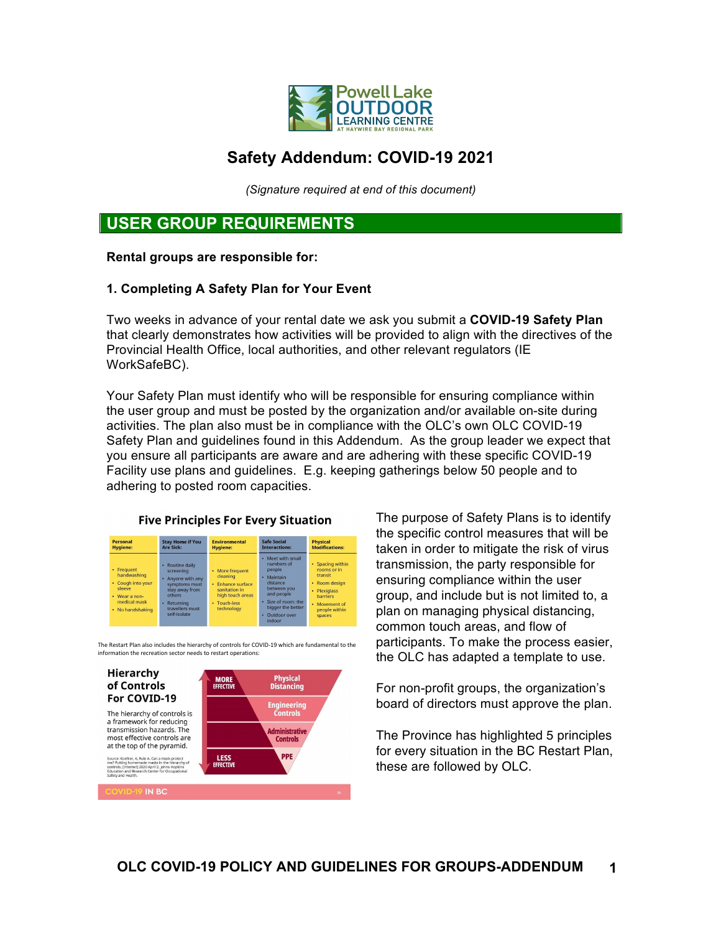

# **Safety Addendum: COVID-19 2021**

*(Signature required at end of this document)*

### **USER GROUP REQUIREMENTS**

**Rental groups are responsible for:**

#### **1. Completing A Safety Plan for Your Event**

Two weeks in advance of your rental date we ask you submit a **COVID-19 Safety Plan** that clearly demonstrates how activities will be provided to align with the directives of the Provincial Health Office, local authorities, and other relevant regulators (IE WorkSafeBC).

Your Safety Plan must identify who will be responsible for ensuring compliance within the user group and must be posted by the organization and/or available on-site during activities. The plan also must be in compliance with the OLC's own OLC COVID-19 Safety Plan and guidelines found in this Addendum. As the group leader we expect that you ensure all participants are aware and are adhering with these specific COVID-19 Facility use plans and guidelines. E.g. keeping gatherings below 50 people and to adhering to posted room capacities.



The Restart Plan also includes the hierarchy of controls for COVID-19 which are fundamental to the information the recreation sector needs to restart operations:



The purpose of Safety Plans is to identify the specific control measures that will be taken in order to mitigate the risk of virus transmission, the party responsible for ensuring compliance within the user group, and include but is not limited to, a plan on managing physical distancing, common touch areas, and flow of participants. To make the process easier, the OLC has adapted a template to use.

For non-profit groups, the organization's board of directors must approve the plan.

The Province has highlighted 5 principles for every situation in the BC Restart Plan, these are followed by OLC.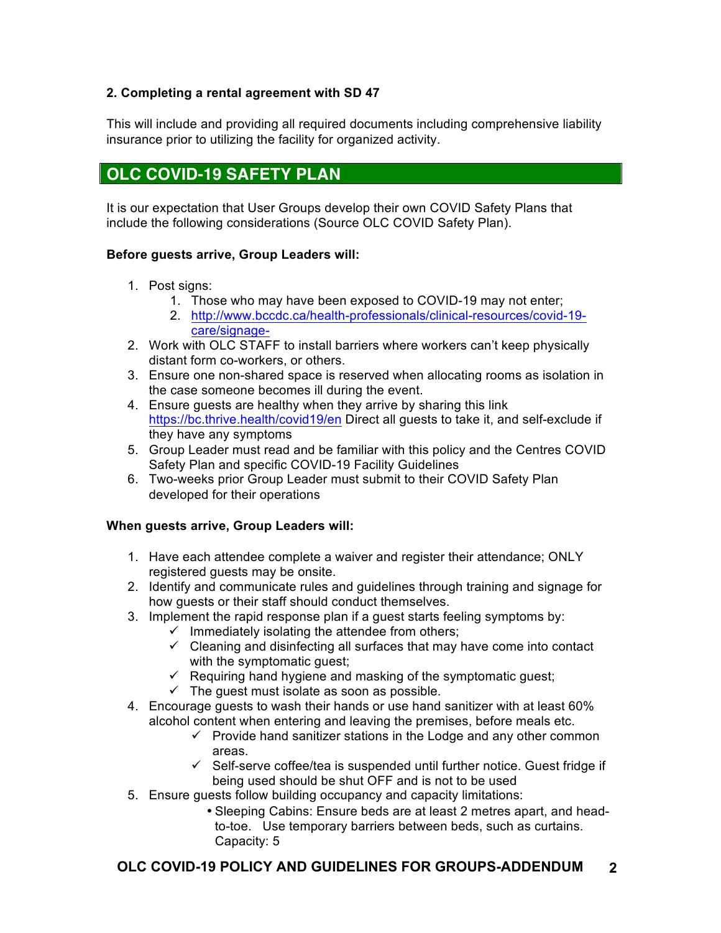#### **2. Completing a rental agreement with SD 47**

This will include and providing all required documents including comprehensive liability insurance prior to utilizing the facility for organized activity.

# **OLC COVID-19 SAFETY PLAN**

It is our expectation that User Groups develop their own COVID Safety Plans that include the following considerations (Source OLC COVID Safety Plan).

#### **Before guests arrive, Group Leaders will:**

- 1. Post signs:
	- 1. Those who may have been exposed to COVID-19 may not enter;
	- 2. http://www.bccdc.ca/health-professionals/clinical-resources/covid-19 care/signage-
- 2. Work with OLC STAFF to install barriers where workers can't keep physically distant form co-workers, or others.
- 3. Ensure one non-shared space is reserved when allocating rooms as isolation in the case someone becomes ill during the event.
- 4. Ensure guests are healthy when they arrive by sharing this link https://bc.thrive.health/covid19/en Direct all guests to take it, and self-exclude if they have any symptoms
- 5. Group Leader must read and be familiar with this policy and the Centres COVID Safety Plan and specific COVID-19 Facility Guidelines
- 6. Two-weeks prior Group Leader must submit to their COVID Safety Plan developed for their operations

#### **When guests arrive, Group Leaders will:**

- 1. Have each attendee complete a waiver and register their attendance; ONLY registered guests may be onsite.
- 2. Identify and communicate rules and guidelines through training and signage for how guests or their staff should conduct themselves.
- 3. Implement the rapid response plan if a guest starts feeling symptoms by:
	- $\checkmark$  Immediately isolating the attendee from others;
	- $\checkmark$  Cleaning and disinfecting all surfaces that may have come into contact with the symptomatic guest;
	- $\checkmark$  Requiring hand hygiene and masking of the symptomatic guest;
	- $\checkmark$  The quest must isolate as soon as possible.
- 4. Encourage guests to wash their hands or use hand sanitizer with at least 60% alcohol content when entering and leaving the premises, before meals etc.
	- $\checkmark$  Provide hand sanitizer stations in the Lodge and any other common areas.
	- $\checkmark$  Self-serve coffee/tea is suspended until further notice. Guest fridge if being used should be shut OFF and is not to be used
- 5. Ensure guests follow building occupancy and capacity limitations:
	- Sleeping Cabins: Ensure beds are at least 2 metres apart, and headto-toe. Use temporary barriers between beds, such as curtains. Capacity: 5

### **OLC COVID-19 POLICY AND GUIDELINES FOR GROUPS-ADDENDUM 2**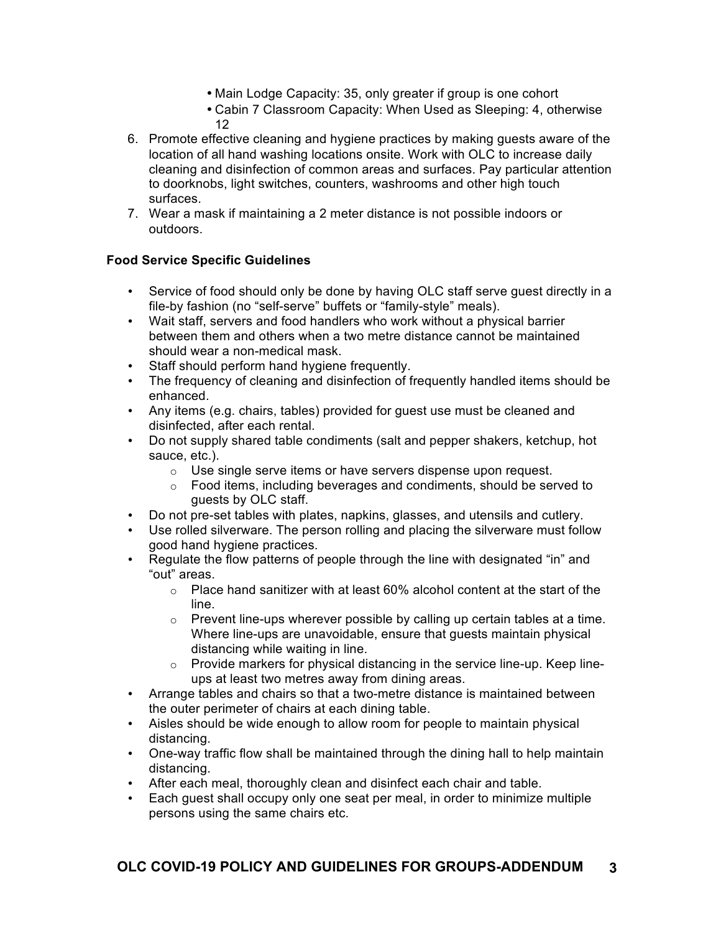- Main Lodge Capacity: 35, only greater if group is one cohort
- Cabin 7 Classroom Capacity: When Used as Sleeping: 4, otherwise 12
- 6. Promote effective cleaning and hygiene practices by making guests aware of the location of all hand washing locations onsite. Work with OLC to increase daily cleaning and disinfection of common areas and surfaces. Pay particular attention to doorknobs, light switches, counters, washrooms and other high touch surfaces.
- 7. Wear a mask if maintaining a 2 meter distance is not possible indoors or outdoors.

#### **Food Service Specific Guidelines**

- Service of food should only be done by having OLC staff serve guest directly in a file-by fashion (no "self-serve" buffets or "family-style" meals).
- Wait staff, servers and food handlers who work without a physical barrier between them and others when a two metre distance cannot be maintained should wear a non-medical mask.
- Staff should perform hand hygiene frequently.
- The frequency of cleaning and disinfection of frequently handled items should be enhanced.
- Any items (e.g. chairs, tables) provided for guest use must be cleaned and disinfected, after each rental.
- Do not supply shared table condiments (salt and pepper shakers, ketchup, hot sauce, etc.).
	- o Use single serve items or have servers dispense upon request.
	- o Food items, including beverages and condiments, should be served to guests by OLC staff.
- Do not pre-set tables with plates, napkins, glasses, and utensils and cutlery.
- Use rolled silverware. The person rolling and placing the silverware must follow good hand hygiene practices.
- Requiate the flow patterns of people through the line with designated "in" and "out" areas.
	- $\circ$  Place hand sanitizer with at least 60% alcohol content at the start of the line.
	- $\circ$  Prevent line-ups wherever possible by calling up certain tables at a time. Where line-ups are unavoidable, ensure that guests maintain physical distancing while waiting in line.
	- o Provide markers for physical distancing in the service line-up. Keep lineups at least two metres away from dining areas.
- Arrange tables and chairs so that a two-metre distance is maintained between the outer perimeter of chairs at each dining table.
- Aisles should be wide enough to allow room for people to maintain physical distancing.
- One-way traffic flow shall be maintained through the dining hall to help maintain distancing.
- After each meal, thoroughly clean and disinfect each chair and table.
- Each guest shall occupy only one seat per meal, in order to minimize multiple persons using the same chairs etc.